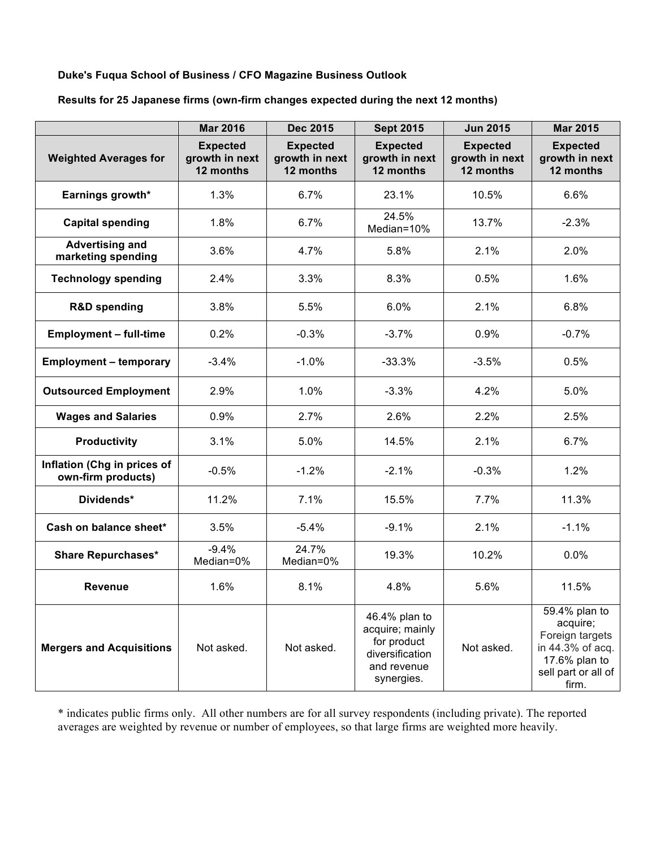## **Duke's Fuqua School of Business / CFO Magazine Business Outlook**

|  |  | Results for 25 Japanese firms (own-firm changes expected during the next 12 months) |
|--|--|-------------------------------------------------------------------------------------|
|  |  |                                                                                     |

|                                                   | <b>Mar 2016</b>                                | <b>Dec 2015</b>                                | <b>Sept 2015</b>                                                                                | <b>Jun 2015</b>                                | <b>Mar 2015</b>                                                                                                   |
|---------------------------------------------------|------------------------------------------------|------------------------------------------------|-------------------------------------------------------------------------------------------------|------------------------------------------------|-------------------------------------------------------------------------------------------------------------------|
| <b>Weighted Averages for</b>                      | <b>Expected</b><br>growth in next<br>12 months | <b>Expected</b><br>growth in next<br>12 months | <b>Expected</b><br>growth in next<br>12 months                                                  | <b>Expected</b><br>growth in next<br>12 months | <b>Expected</b><br>growth in next<br>12 months                                                                    |
| Earnings growth*                                  | 1.3%                                           | 6.7%                                           | 23.1%                                                                                           | 10.5%                                          | 6.6%                                                                                                              |
| <b>Capital spending</b>                           | 1.8%                                           | 6.7%                                           | 24.5%<br>Median=10%                                                                             | 13.7%                                          | $-2.3%$                                                                                                           |
| <b>Advertising and</b><br>marketing spending      | 3.6%                                           | 4.7%                                           | 5.8%                                                                                            | 2.1%                                           | 2.0%                                                                                                              |
| <b>Technology spending</b>                        | 2.4%                                           | 3.3%                                           | 8.3%                                                                                            | 0.5%                                           | 1.6%                                                                                                              |
| <b>R&amp;D spending</b>                           | 3.8%                                           | 5.5%                                           | 6.0%                                                                                            | 2.1%                                           | 6.8%                                                                                                              |
| <b>Employment - full-time</b>                     | 0.2%                                           | $-0.3%$                                        | $-3.7%$                                                                                         | 0.9%                                           | $-0.7%$                                                                                                           |
| <b>Employment - temporary</b>                     | $-3.4%$                                        | $-1.0%$                                        | $-33.3%$                                                                                        | $-3.5%$                                        | 0.5%                                                                                                              |
| <b>Outsourced Employment</b>                      | 2.9%                                           | 1.0%                                           | $-3.3%$                                                                                         | 4.2%                                           | 5.0%                                                                                                              |
| <b>Wages and Salaries</b>                         | 0.9%                                           | 2.7%                                           | 2.6%                                                                                            | 2.2%                                           | 2.5%                                                                                                              |
| <b>Productivity</b>                               | 3.1%                                           | 5.0%                                           | 14.5%                                                                                           | 2.1%                                           | 6.7%                                                                                                              |
| Inflation (Chg in prices of<br>own-firm products) | $-0.5%$                                        | $-1.2%$                                        | $-2.1%$                                                                                         | $-0.3%$                                        | 1.2%                                                                                                              |
| Dividends*                                        | 11.2%                                          | 7.1%                                           | 15.5%                                                                                           | 7.7%                                           | 11.3%                                                                                                             |
| Cash on balance sheet*                            | 3.5%                                           | $-5.4%$                                        | $-9.1%$                                                                                         | 2.1%                                           | $-1.1%$                                                                                                           |
| <b>Share Repurchases*</b>                         | $-9.4%$<br>Median=0%                           | 24.7%<br>Median=0%                             | 19.3%                                                                                           | 10.2%                                          | 0.0%                                                                                                              |
| <b>Revenue</b>                                    | 1.6%                                           | 8.1%                                           | 4.8%                                                                                            | 5.6%                                           | 11.5%                                                                                                             |
| <b>Mergers and Acquisitions</b>                   | Not asked.                                     | Not asked.                                     | 46.4% plan to<br>acquire; mainly<br>for product<br>diversification<br>and revenue<br>synergies. | Not asked.                                     | 59.4% plan to<br>acquire;<br>Foreign targets<br>in 44.3% of acq.<br>17.6% plan to<br>sell part or all of<br>firm. |

\* indicates public firms only. All other numbers are for all survey respondents (including private). The reported averages are weighted by revenue or number of employees, so that large firms are weighted more heavily.